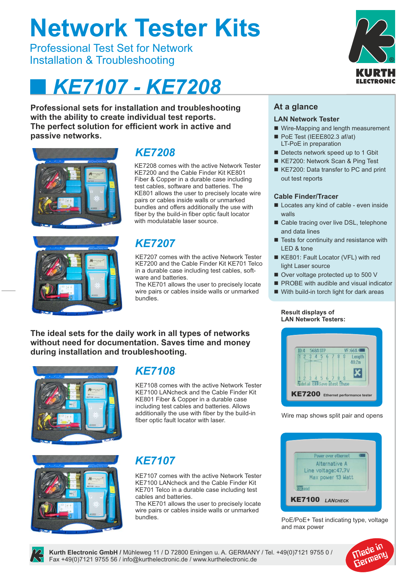# **Network Tester Kits**

Professional Test Set for Network Installation & Troubleshooting

# *KE7107 - KE7208*

**Professional sets for installation and troubleshooting with the ability to create individual test reports. The perfect solution for efficient work in active and passive networks.**





## *KE7208*

KE7208 comes with the active Network Tester KE7200 and the Cable Finder Kit KE801 Fiber & Copper in a durable case including test cables, software and batteries. The KE801 allows the user to precisely locate wire pairs or cables inside walls or unmarked bundles and offers additionally the use with fiber by the build-in fiber optic fault locator with modulatable laser source.

# *KE7207*

KE7207 comes with the active Network Tester KE7200 and the Cable Finder Kit KE701 Telco in a durable case including test cables, software and batteries.

The KE701 allows the user to precisely locate wire pairs or cables inside walls or unmarked bundles.

**The ideal sets for the daily work in all types of networks without need for documentation. Saves time and money during installation and troubleshooting.**



### *KE7108*

KE7108 comes with the active Network Tester KE7100 LANcheck and the Cable Finder Kit KE801 Fiber & Copper in a durable case including test cables and batteries. Allows additionally the use with fiber by the build-in fiber optic fault locator with laser.



# *KE7107*

KE7107 comes with the active Network Tester KE7100 LANcheck and the Cable Finder Kit KE701 Telco in a durable case including test cables and batteries.

The KE701 allows the user to precisely locate wire pairs or cables inside walls or unmarked bundles.



#### **At a glance**

#### **LAN Network Tester**

- Wire-Mapping and length measurement
- PoE Test (IEEE802.3 af/at) LT-PoE in preparation
- $\blacksquare$  Detects network speed up to 1 Gbit
- KE7200: Network Scan & Ping Test
- KE7200: Data transfer to PC and print out test reports

#### **Cable Finder/Tracer**

- $\blacksquare$  Locates any kind of cable even inside walls
- Cable tracing over live DSL, telephone and data lines
- $\blacksquare$  Tests for continuity and resistance with LED & tone
- KE801: Fault Locator (VFL) with red light Laser source
- Over voltage protected up to 500 V
- **PROBE** with audible and visual indicator
- $\blacksquare$  With build-in torch light for dark areas

#### **Result displays of LAN Network Testers:**



Wire map shows split pair and opens



PoE/PoE+ Test indicating type, voltage and max power





**Kurth Electronic GmbH /** Mühleweg 11 / D 72800 Eningen u. A. GERMANY / Tel. +49(0)7121 9755 0 / Fax +49(0)7121 9755 56 / info@kurthelectronic.de / www.kurthelectronic.de